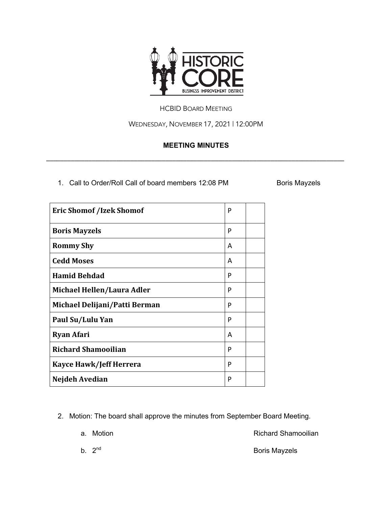

#### HCBID BOARD MEETING

WEDNESDAY, NOVEMBER 17, 2021 | 12:00PM

## **MEETING MINUTES**

\_\_\_\_\_\_\_\_\_\_\_\_\_\_\_\_\_\_\_\_\_\_\_\_\_\_\_\_\_\_\_\_\_\_\_\_\_\_\_\_\_\_\_\_\_\_\_\_\_\_\_\_\_\_\_\_\_\_\_\_\_\_\_\_\_\_\_\_\_\_\_\_\_\_\_\_\_\_\_\_\_\_\_\_\_

1. Call to Order/Roll Call of board members 12:08 PM Boris Mayzels

| <b>Eric Shomof /Izek Shomof</b> | P |  |
|---------------------------------|---|--|
| <b>Boris Mayzels</b>            | P |  |
| <b>Rommy Shy</b>                | А |  |
| <b>Cedd Moses</b>               | А |  |
| <b>Hamid Behdad</b>             | P |  |
| Michael Hellen/Laura Adler      | P |  |
| Michael Delijani/Patti Berman   | P |  |
| Paul Su/Lulu Yan                | P |  |
| <b>Ryan Afari</b>               | A |  |
| <b>Richard Shamooilian</b>      | P |  |
| Kayce Hawk/Jeff Herrera         | P |  |
| Nejdeh Avedian                  | P |  |

2. Motion: The board shall approve the minutes from September Board Meeting.

a. Motion **a.** Motion **Richard Shamooilian** 

b.  $2^{nd}$  Boris Mayzels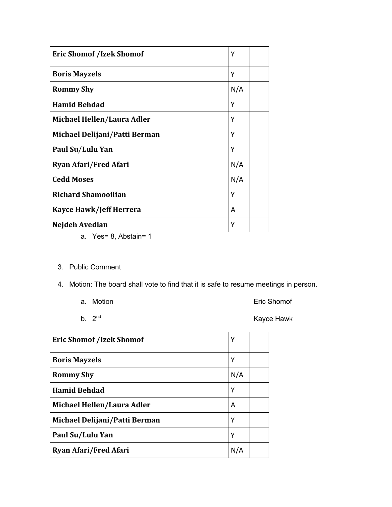| <b>Eric Shomof /Izek Shomof</b> | Υ   |
|---------------------------------|-----|
| <b>Boris Mayzels</b>            | Υ   |
| <b>Rommy Shy</b>                | N/A |
| <b>Hamid Behdad</b>             | Y   |
| Michael Hellen/Laura Adler      | Υ   |
| Michael Delijani/Patti Berman   | Υ   |
| Paul Su/Lulu Yan                | Υ   |
| <b>Ryan Afari/Fred Afari</b>    | N/A |
| <b>Cedd Moses</b>               | N/A |
| <b>Richard Shamooilian</b>      | Υ   |
| <b>Kayce Hawk/Jeff Herrera</b>  | A   |
| Nejdeh Avedian                  | Υ   |

- a. Yes= 8, Abstain= 1
- 3. Public Comment
- 4. Motion: The board shall vote to find that it is safe to resume meetings in person.
	-
	- a. Motion **Existence** Contract Contract Contract Contract Contract Contract Contract Contract Contract Contract Contract Contract Contract Contract Contract Contract Contract Contract Contract Contract Contract Contract Co
	-

b.  $2<sup>nd</sup>$  Kayce Hawk

| <b>Eric Shomof /Izek Shomof</b> | Υ   |  |
|---------------------------------|-----|--|
| <b>Boris Mayzels</b>            | Υ   |  |
| <b>Rommy Shy</b>                | N/A |  |
| <b>Hamid Behdad</b>             | Y   |  |
| Michael Hellen/Laura Adler      | A   |  |
| Michael Delijani/Patti Berman   | Υ   |  |
| Paul Su/Lulu Yan                | Υ   |  |
| <b>Ryan Afari/Fred Afari</b>    | N/A |  |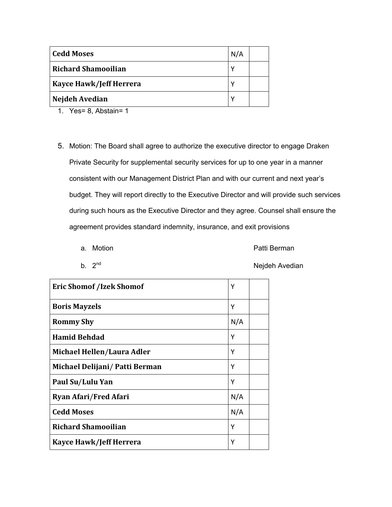| Cedd Moses                     | N/A |  |
|--------------------------------|-----|--|
| <b>Richard Shamooilian</b>     | ν   |  |
| <b>Kayce Hawk/Jeff Herrera</b> | ν   |  |
| Nejdeh Avedian                 | ν   |  |

- 1. Yes= 8, Abstain= 1
- 5. Motion: The Board shall agree to authorize the executive director to engage Draken Private Security for supplemental security services for up to one year in a manner consistent with our Management District Plan and with our current and next year's budget. They will report directly to the Executive Director and will provide such services during such hours as the Executive Director and they agree. Counsel shall ensure the agreement provides standard indemnity, insurance, and exit provisions
	-

a. Motion **a.** Motion **Patti Berman** 

**Eric Shomof /Izek Shomof** Y **Boris Mayzels** Y **Rommy Shy**  $\vert N/A \vert$ **Hamid Behdad** Y **Michael Hellen**/**Laura Adler** Y **Michael Delijani**/ **Patti Berman** Y **Paul Su**/**Lulu Yan** Y **Ryan Afari/Fred Afari** N/A **Cedd Moses**  $\vert N/A \vert$ **Richard Shamooilian** Y **Kayce Hawk/Jeff Herrera**  $\vert$  Y

b. 2<sup>nd</sup> Nejdeh Avedian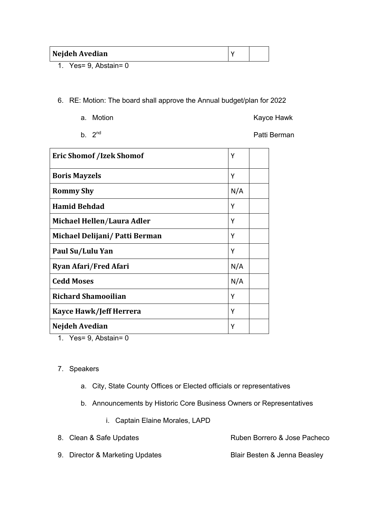| Nejdeh Avedian |  |
|----------------|--|
| ___            |  |

1. Yes= 9, Abstain= 0

6. RE: Motion: The board shall approve the Annual budget/plan for 2022

a. Motion **Accord Accord Accord Accord Management Accord Accord Accord Kayce Hawk** 

b. 2<sup>nd</sup> Patti Berman

| <b>Eric Shomof /Izek Shomof</b>                 | Υ   |  |
|-------------------------------------------------|-----|--|
| <b>Boris Mayzels</b>                            | Υ   |  |
| <b>Rommy Shy</b>                                | N/A |  |
| <b>Hamid Behdad</b>                             | Υ   |  |
| Michael Hellen/Laura Adler                      | Υ   |  |
| Michael Delijani/ Patti Berman                  | Υ   |  |
| Paul Su/Lulu Yan                                | Υ   |  |
| <b>Ryan Afari/Fred Afari</b>                    | N/A |  |
| <b>Cedd Moses</b>                               | N/A |  |
| <b>Richard Shamooilian</b>                      | Υ   |  |
| Kayce Hawk/Jeff Herrera                         | Υ   |  |
| Nejdeh Avedian<br>$\mathbf{v}$ and $\mathbf{v}$ | Υ   |  |

1. Yes= 9, Abstain= 0

#### 7. Speakers

- a. City, State County Offices or Elected officials or representatives
- b. Announcements by Historic Core Business Owners or Representatives
	- i. Captain Elaine Morales, LAPD

| 8. Clean & Safe Updates         | Ruben Borrero & Jose Pacheco |
|---------------------------------|------------------------------|
| 9. Director & Marketing Updates | Blair Besten & Jenna Beasley |